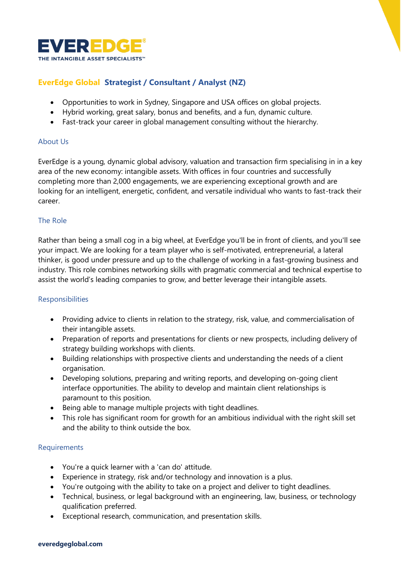

# **EverEdge Global Strategist / Consultant / Analyst (NZ)**

- Opportunities to work in Sydney, Singapore and USA offices on global projects.
- Hybrid working, great salary, bonus and benefits, and a fun, dynamic culture.
- Fast-track your career in global management consulting without the hierarchy.

## About Us

EverEdge is a young, dynamic global advisory, valuation and transaction firm specialising in in a key area of the new economy: intangible assets. With offices in four countries and successfully completing more than 2,000 engagements, we are experiencing exceptional growth and are looking for an intelligent, energetic, confident, and versatile individual who wants to fast-track their career.

## The Role

Rather than being a small cog in a big wheel, at EverEdge you'll be in front of clients, and you'll see your impact. We are looking for a team player who is self-motivated, entrepreneurial, a lateral thinker, is good under pressure and up to the challenge of working in a fast-growing business and industry. This role combines networking skills with pragmatic commercial and technical expertise to assist the world's leading companies to grow, and better leverage their intangible assets.

## **Responsibilities**

- Providing advice to clients in relation to the strategy, risk, value, and commercialisation of their intangible assets.
- Preparation of reports and presentations for clients or new prospects, including delivery of strategy building workshops with clients.
- Building relationships with prospective clients and understanding the needs of a client organisation.
- Developing solutions, preparing and writing reports, and developing on-going client interface opportunities. The ability to develop and maintain client relationships is paramount to this position.
- Being able to manage multiple projects with tight deadlines.
- This role has significant room for growth for an ambitious individual with the right skill set and the ability to think outside the box.

## **Requirements**

- You're a quick learner with a 'can do' attitude.
- Experience in strategy, risk and/or technology and innovation is a plus.
- You're outgoing with the ability to take on a project and deliver to tight deadlines.
- Technical, business, or legal background with an engineering, law, business, or technology qualification preferred.
- Exceptional research, communication, and presentation skills.